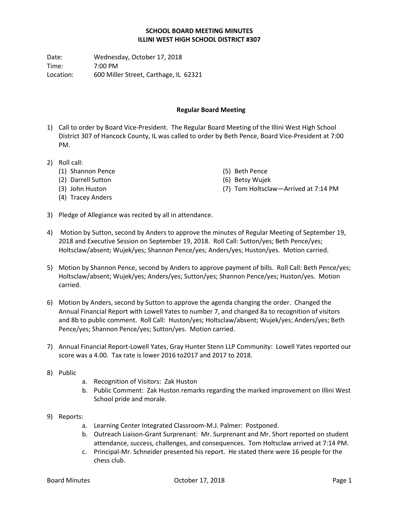## **SCHOOL BOARD MEETING MINUTES ILLINI WEST HIGH SCHOOL DISTRICT #307**

Date: Wednesday, October 17, 2018 Time: 7:00 PM Location: 600 Miller Street, Carthage, IL 62321

## **Regular Board Meeting**

- 1) Call to order by Board Vice-President. The Regular Board Meeting of the Illini West High School District 307 of Hancock County, IL was called to order by Beth Pence, Board Vice-President at 7:00 PM.
- 2) Roll call:
	- (1) Shannon Pence
	- (2) Darrell Sutton
	- (3) John Huston
	- (4) Tracey Anders
- (5) Beth Pence
- (6) Betsy Wujek
- (7) Tom Holtsclaw—Arrived at 7:14 PM
- 3) Pledge of Allegiance was recited by all in attendance.
- 4) Motion by Sutton, second by Anders to approve the minutes of Regular Meeting of September 19, 2018 and Executive Session on September 19, 2018. Roll Call: Sutton/yes; Beth Pence/yes; Holtsclaw/absent; Wujek/yes; Shannon Pence/yes; Anders/yes; Huston/yes. Motion carried.
- 5) Motion by Shannon Pence, second by Anders to approve payment of bills. Roll Call: Beth Pence/yes; Holtsclaw/absent; Wujek/yes; Anders/yes; Sutton/yes; Shannon Pence/yes; Huston/yes. Motion carried.
- 6) Motion by Anders, second by Sutton to approve the agenda changing the order. Changed the Annual Financial Report with Lowell Yates to number 7, and changed 8a to recognition of visitors and 8b to public comment. Roll Call: Huston/yes; Holtsclaw/absent; Wujek/yes; Anders/yes; Beth Pence/yes; Shannon Pence/yes; Sutton/yes. Motion carried.
- 7) Annual Financial Report-Lowell Yates, Gray Hunter Stenn LLP Community: Lowell Yates reported our score was a 4.00. Tax rate is lower 2016 to2017 and 2017 to 2018.
- 8) Public
- a. Recognition of Visitors: Zak Huston
- b. Public Comment: Zak Huston remarks regarding the marked improvement on Illini West School pride and morale.
- 9) Reports:
	- a. Learning Center Integrated Classroom-M.J. Palmer: Postponed.
	- b. Outreach Liaison-Grant Surprenant: Mr. Surprenant and Mr. Short reported on student attendance, success, challenges, and consequences. Tom Holtsclaw arrived at 7:14 PM.
	- c. Principal-Mr. Schneider presented his report. He stated there were 16 people for the chess club.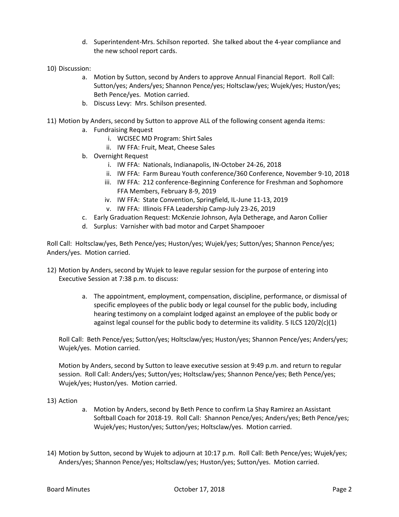- d. Superintendent-Mrs. Schilson reported. She talked about the 4-year compliance and the new school report cards.
- 10) Discussion:
	- a. Motion by Sutton, second by Anders to approve Annual Financial Report. Roll Call: Sutton/yes; Anders/yes; Shannon Pence/yes; Holtsclaw/yes; Wujek/yes; Huston/yes; Beth Pence/yes. Motion carried.
	- b. Discuss Levy: Mrs. Schilson presented.
- 11) Motion by Anders, second by Sutton to approve ALL of the following consent agenda items:
	- a. Fundraising Request
		- i. WCISEC MD Program: Shirt Sales
		- ii. IW FFA: Fruit, Meat, Cheese Sales
	- b. Overnight Request
		- i. IW FFA: Nationals, Indianapolis, IN-October 24-26, 2018
		- ii. IW FFA: Farm Bureau Youth conference/360 Conference, November 9-10, 2018
		- iii. IW FFA: 212 conference-Beginning Conference for Freshman and Sophomore FFA Members, February 8-9, 2019
		- iv. IW FFA: State Convention, Springfield, IL-June 11-13, 2019
		- v. IW FFA: Illinois FFA Leadership Camp-July 23-26, 2019
	- c. Early Graduation Request: McKenzie Johnson, Ayla Detherage, and Aaron Collier
	- d. Surplus: Varnisher with bad motor and Carpet Shampooer

Roll Call: Holtsclaw/yes, Beth Pence/yes; Huston/yes; Wujek/yes; Sutton/yes; Shannon Pence/yes; Anders/yes. Motion carried.

- 12) Motion by Anders, second by Wujek to leave regular session for the purpose of entering into Executive Session at 7:38 p.m. to discuss:
	- a. The appointment, employment, compensation, discipline, performance, or dismissal of specific employees of the public body or legal counsel for the public body, including hearing testimony on a complaint lodged against an employee of the public body or against legal counsel for the public body to determine its validity. 5 ILCS 120/2(c)(1)

Roll Call: Beth Pence/yes; Sutton/yes; Holtsclaw/yes; Huston/yes; Shannon Pence/yes; Anders/yes; Wujek/yes. Motion carried.

Motion by Anders, second by Sutton to leave executive session at 9:49 p.m. and return to regular session. Roll Call: Anders/yes; Sutton/yes; Holtsclaw/yes; Shannon Pence/yes; Beth Pence/yes; Wujek/yes; Huston/yes. Motion carried.

## 13) Action

- a. Motion by Anders, second by Beth Pence to confirm La Shay Ramirez an Assistant Softball Coach for 2018-19. Roll Call: Shannon Pence/yes; Anders/yes; Beth Pence/yes; Wujek/yes; Huston/yes; Sutton/yes; Holtsclaw/yes. Motion carried.
- 14) Motion by Sutton, second by Wujek to adjourn at 10:17 p.m. Roll Call: Beth Pence/yes; Wujek/yes; Anders/yes; Shannon Pence/yes; Holtsclaw/yes; Huston/yes; Sutton/yes. Motion carried.